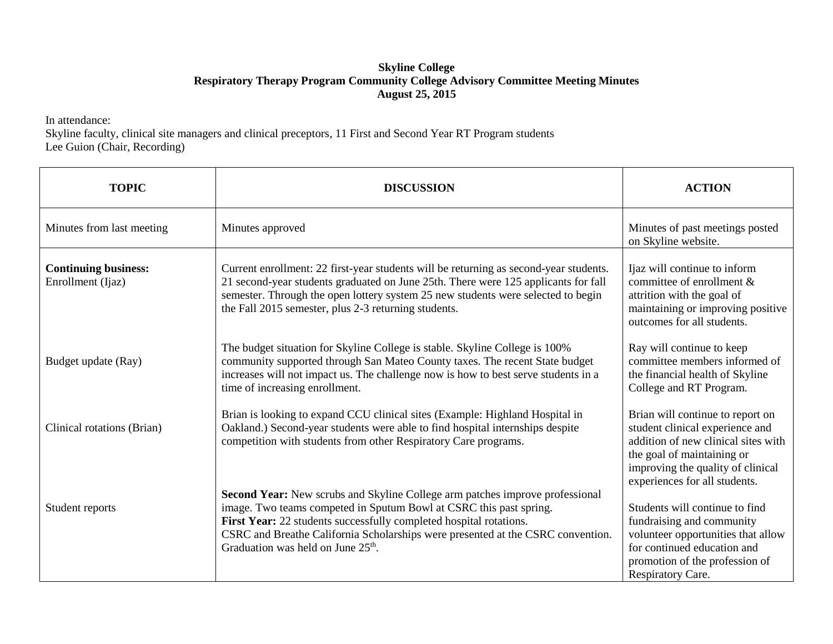## **Skyline College Respiratory Therapy Program Community College Advisory Committee Meeting Minutes August 25, 2015**

In attendance:

Skyline faculty, clinical site managers and clinical preceptors, 11 First and Second Year RT Program students Lee Guion (Chair, Recording)

| <b>TOPIC</b>                                     | <b>DISCUSSION</b>                                                                                                                                                                                                                                                                                                                                   | <b>ACTION</b>                                                                                                                                                                                                            |
|--------------------------------------------------|-----------------------------------------------------------------------------------------------------------------------------------------------------------------------------------------------------------------------------------------------------------------------------------------------------------------------------------------------------|--------------------------------------------------------------------------------------------------------------------------------------------------------------------------------------------------------------------------|
| Minutes from last meeting                        | Minutes approved                                                                                                                                                                                                                                                                                                                                    | Minutes of past meetings posted<br>on Skyline website.                                                                                                                                                                   |
| <b>Continuing business:</b><br>Enrollment (Ijaz) | Current enrollment: 22 first-year students will be returning as second-year students.<br>21 second-year students graduated on June 25th. There were 125 applicants for fall<br>semester. Through the open lottery system 25 new students were selected to begin<br>the Fall 2015 semester, plus 2-3 returning students.                             | Ijaz will continue to inform<br>committee of enrollment &<br>attrition with the goal of<br>maintaining or improving positive<br>outcomes for all students.                                                               |
| Budget update (Ray)                              | The budget situation for Skyline College is stable. Skyline College is 100%<br>community supported through San Mateo County taxes. The recent State budget<br>increases will not impact us. The challenge now is how to best serve students in a<br>time of increasing enrollment.                                                                  | Ray will continue to keep<br>committee members informed of<br>the financial health of Skyline<br>College and RT Program.                                                                                                 |
| Clinical rotations (Brian)                       | Brian is looking to expand CCU clinical sites (Example: Highland Hospital in<br>Oakland.) Second-year students were able to find hospital internships despite<br>competition with students from other Respiratory Care programs.                                                                                                                    | Brian will continue to report on<br>student clinical experience and<br>addition of new clinical sites with<br>the goal of maintaining or<br>improving the quality of clinical                                            |
| Student reports                                  | Second Year: New scrubs and Skyline College arm patches improve professional<br>image. Two teams competed in Sputum Bowl at CSRC this past spring.<br>First Year: 22 students successfully completed hospital rotations.<br>CSRC and Breathe California Scholarships were presented at the CSRC convention.<br>Graduation was held on June $25th$ . | experiences for all students.<br>Students will continue to find<br>fundraising and community<br>volunteer opportunities that allow<br>for continued education and<br>promotion of the profession of<br>Respiratory Care. |